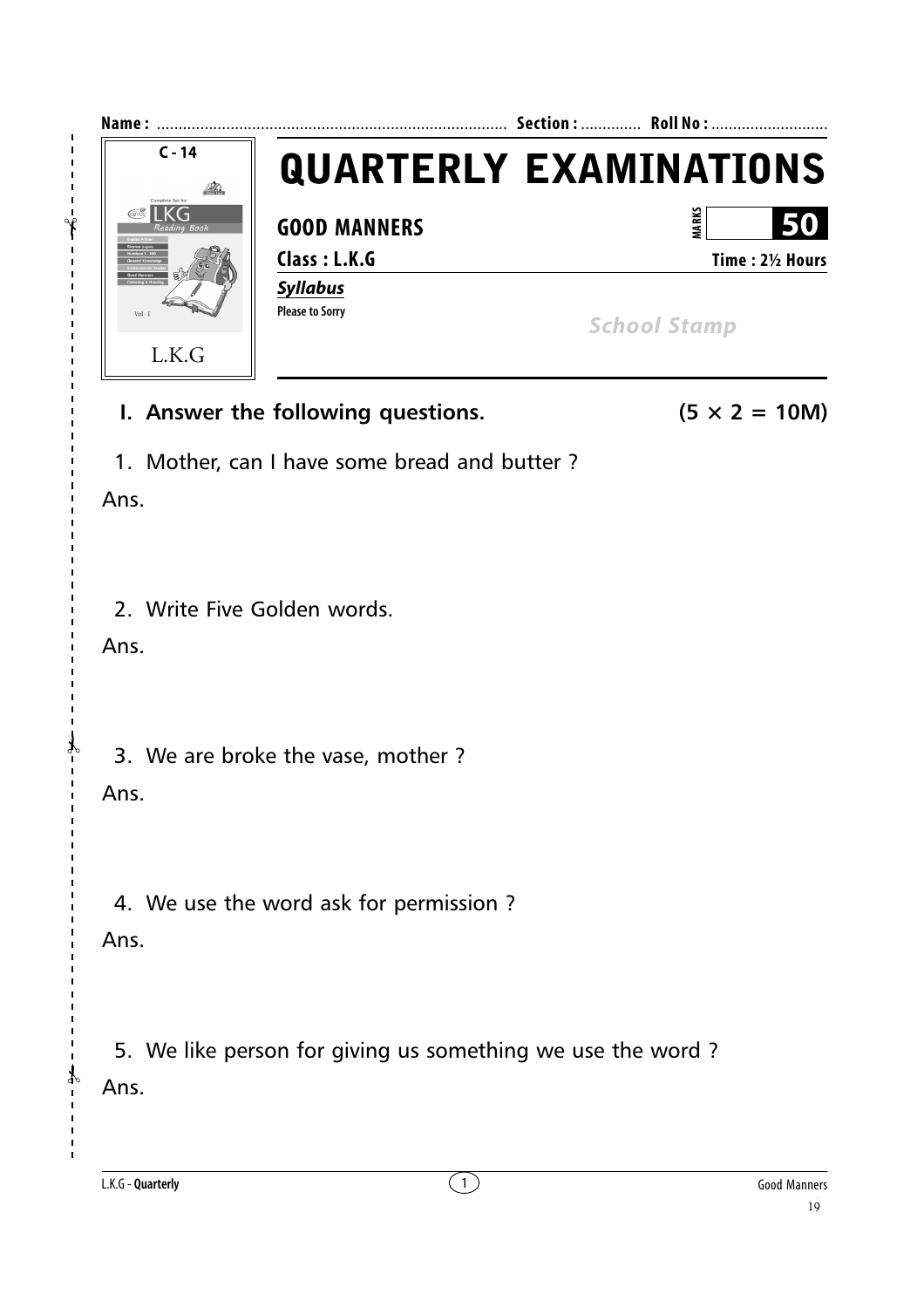

I. Answer the following questions.

- $(5 \times 2 = 10M)$
- 1. Mother, can I have some bread and butter?

Ans.

2. Write Five Golden words.

Ans.

3. We are broke the vase, mother?

**Ans** 

4. We use the word ask for permission?

Ans.

 $\frac{1}{4}$ 

5. We like person for giving us something we use the word? Ans.